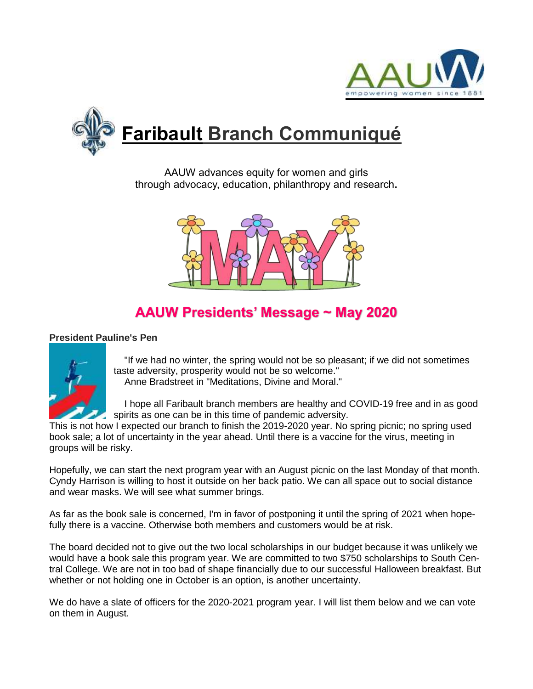



AAUW advances equity for women and girls through advocacy, education, philanthropy and research**.**



# **AAUW Presidents' Message ~ May 2020**

## **President Pauline's Pen**



 "If we had no winter, the spring would not be so pleasant; if we did not sometimes taste adversity, prosperity would not be so welcome." Anne Bradstreet in "Meditations, Divine and Moral."

 I hope all Faribault branch members are healthy and COVID-19 free and in as good spirits as one can be in this time of pandemic adversity.

This is not how I expected our branch to finish the 2019-2020 year. No spring picnic; no spring used book sale; a lot of uncertainty in the year ahead. Until there is a vaccine for the virus, meeting in groups will be risky.

Hopefully, we can start the next program year with an August picnic on the last Monday of that month. Cyndy Harrison is willing to host it outside on her back patio. We can all space out to social distance and wear masks. We will see what summer brings.

As far as the book sale is concerned, I'm in favor of postponing it until the spring of 2021 when hopefully there is a vaccine. Otherwise both members and customers would be at risk.

The board decided not to give out the two local scholarships in our budget because it was unlikely we would have a book sale this program year. We are committed to two \$750 scholarships to South Central College. We are not in too bad of shape financially due to our successful Halloween breakfast. But whether or not holding one in October is an option, is another uncertainty.

We do have a slate of officers for the 2020-2021 program year. I will list them below and we can vote on them in August.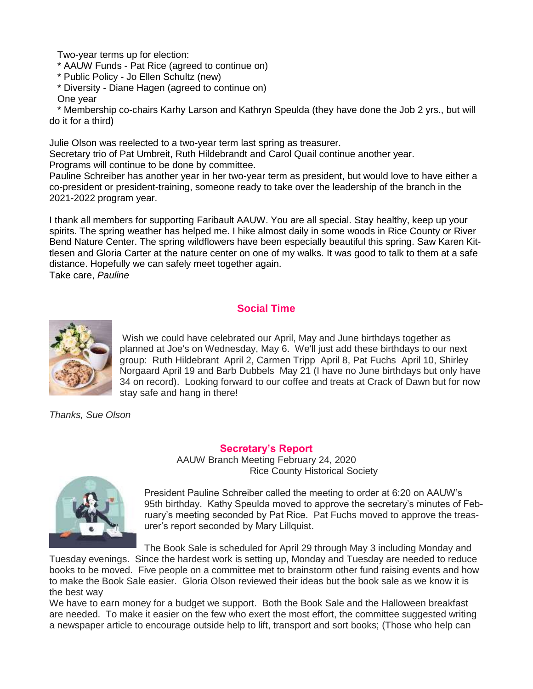Two-year terms up for election:

\* AAUW Funds - Pat Rice (agreed to continue on)

- \* Public Policy Jo Ellen Schultz (new)
- \* Diversity Diane Hagen (agreed to continue on)

One year

 \* Membership co-chairs Karhy Larson and Kathryn Speulda (they have done the Job 2 yrs., but will do it for a third)

Julie Olson was reelected to a two-year term last spring as treasurer.

Secretary trio of Pat Umbreit, Ruth Hildebrandt and Carol Quail continue another year.

Programs will continue to be done by committee.

Pauline Schreiber has another year in her two-year term as president, but would love to have either a co-president or president-training, someone ready to take over the leadership of the branch in the 2021-2022 program year.

I thank all members for supporting Faribault AAUW. You are all special. Stay healthy, keep up your spirits. The spring weather has helped me. I hike almost daily in some woods in Rice County or River Bend Nature Center. The spring wildflowers have been especially beautiful this spring. Saw Karen Kittlesen and Gloria Carter at the nature center on one of my walks. It was good to talk to them at a safe distance. Hopefully we can safely meet together again. Take care, *Pauline* 

# **Social Time**



Wish we could have celebrated our April, May and June birthdays together as planned at Joe's on Wednesday, May 6. We'll just add these birthdays to our next group: Ruth Hildebrant April 2, Carmen Tripp April 8, Pat Fuchs April 10, Shirley Norgaard April 19 and Barb Dubbels May 21 (I have no June birthdays but only have 34 on record). Looking forward to our coffee and treats at Crack of Dawn but for now stay safe and hang in there!

*Thanks, Sue Olson*

**Secretary's Report** AAUW Branch Meeting February 24, 2020 Rice County Historical Society



President Pauline Schreiber called the meeting to order at 6:20 on AAUW's 95th birthday. Kathy Speulda moved to approve the secretary's minutes of February's meeting seconded by Pat Rice. Pat Fuchs moved to approve the treasurer's report seconded by Mary Lillquist.

The Book Sale is scheduled for April 29 through May 3 including Monday and

Tuesday evenings. Since the hardest work is setting up, Monday and Tuesday are needed to reduce books to be moved. Five people on a committee met to brainstorm other fund raising events and how to make the Book Sale easier. Gloria Olson reviewed their ideas but the book sale as we know it is the best way

We have to earn money for a budget we support. Both the Book Sale and the Halloween breakfast are needed. To make it easier on the few who exert the most effort, the committee suggested writing a newspaper article to encourage outside help to lift, transport and sort books; (Those who help can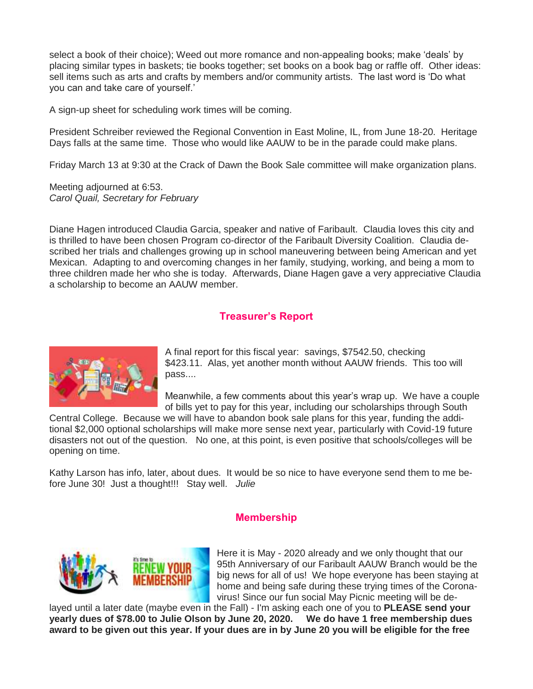select a book of their choice); Weed out more romance and non-appealing books; make 'deals' by placing similar types in baskets; tie books together; set books on a book bag or raffle off. Other ideas: sell items such as arts and crafts by members and/or community artists. The last word is 'Do what you can and take care of yourself.'

A sign-up sheet for scheduling work times will be coming.

President Schreiber reviewed the Regional Convention in East Moline, IL, from June 18-20. Heritage Days falls at the same time. Those who would like AAUW to be in the parade could make plans.

Friday March 13 at 9:30 at the Crack of Dawn the Book Sale committee will make organization plans.

Meeting adjourned at 6:53. *Carol Quail, Secretary for February*

Diane Hagen introduced Claudia Garcia, speaker and native of Faribault. Claudia loves this city and is thrilled to have been chosen Program co-director of the Faribault Diversity Coalition. Claudia described her trials and challenges growing up in school maneuvering between being American and yet Mexican. Adapting to and overcoming changes in her family, studying, working, and being a mom to three children made her who she is today. Afterwards, Diane Hagen gave a very appreciative Claudia a scholarship to become an AAUW member.

# **Treasurer's Report**



A final report for this fiscal year: savings, \$7542.50, checking \$423.11. Alas, yet another month without AAUW friends. This too will pass....

Meanwhile, a few comments about this year's wrap up. We have a couple of bills yet to pay for this year, including our scholarships through South

Central College. Because we will have to abandon book sale plans for this year, funding the additional \$2,000 optional scholarships will make more sense next year, particularly with Covid-19 future disasters not out of the question. No one, at this point, is even positive that schools/colleges will be opening on time.

Kathy Larson has info, later, about dues. It would be so nice to have everyone send them to me before June 30! Just a thought!!! Stay well. *Julie*

## **Membership**



Here it is May - 2020 already and we only thought that our 95th Anniversary of our Faribault AAUW Branch would be the big news for all of us! We hope everyone has been staying at home and being safe during these trying times of the Coronavirus! Since our fun social May Picnic meeting will be de-

layed until a later date (maybe even in the Fall) - I'm asking each one of you to **PLEASE send your yearly dues of \$78.00 to Julie Olson by June 20, 2020. We do have 1 free membership dues award to be given out this year. If your dues are in by June 20 you will be eligible for the free**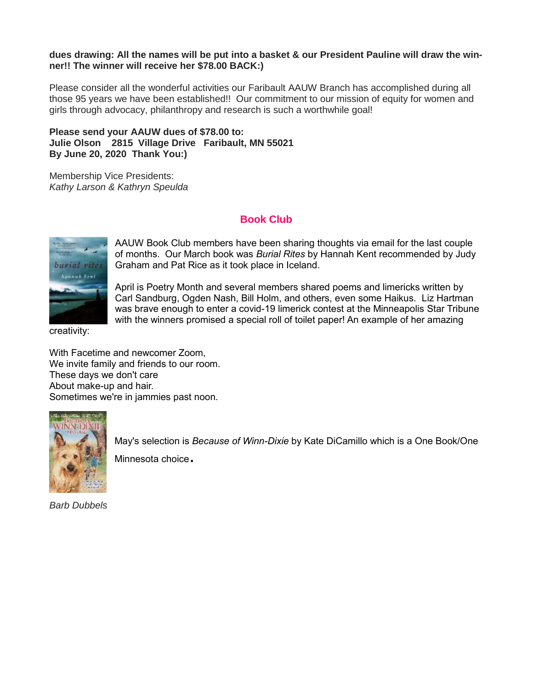#### **dues drawing: All the names will be put into a basket & our President Pauline will draw the winner!! The winner will receive her \$78.00 BACK:)**

Please consider all the wonderful activities our Faribault AAUW Branch has accomplished during all those 95 years we have been established!! Our commitment to our mission of equity for women and girls through advocacy, philanthropy and research is such a worthwhile goal!

## **Please send your AAUW dues of \$78.00 to: Julie Olson 2815 Village Drive Faribault, MN 55021 By June 20, 2020 Thank You:)**

Membership Vice Presidents: *Kathy Larson & Kathryn Speulda*

## **Book Club**



AAUW Book Club members have been sharing thoughts via email for the last couple of months. Our March book was *Burial Rites* by Hannah Kent recommended by Judy Graham and Pat Rice as it took place in Iceland.

April is Poetry Month and several members shared poems and limericks written by Carl Sandburg, Ogden Nash, Bill Holm, and others, even some Haikus. Liz Hartman was brave enough to enter a covid-19 limerick contest at the Minneapolis Star Tribune with the winners promised a special roll of toilet paper! An example of her amazing

creativity:

With Facetime and newcomer Zoom, We invite family and friends to our room. These days we don't care About make-up and hair. Sometimes we're in jammies past noon.



May's selection is *Because of Winn-Dixie* by Kate DiCamillo which is a One Book/One Minnesota choice.

*Barb Dubbels*